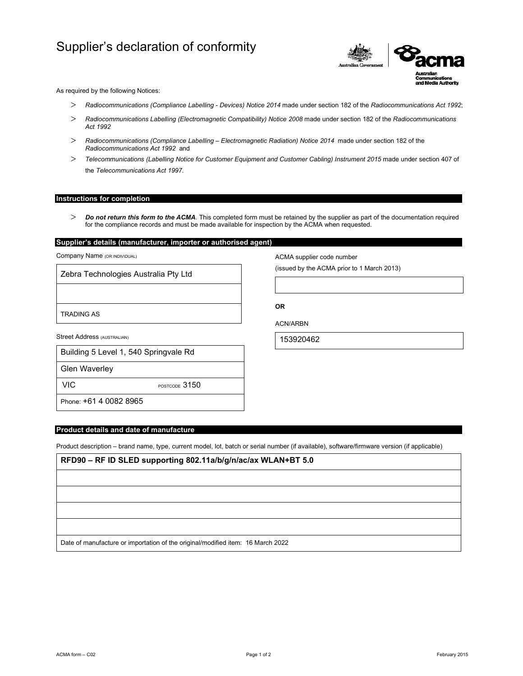# Supplier's declaration of conformity



As required by the following Notices:

- *Radiocommunications (Compliance Labelling Devices) Notice 2014* made under section 182 of the *Radiocommunications Act 1992*;
- *Radiocommunications Labelling (Electromagnetic Compatibility) Notice 2008* made under section 182 of the *Radiocommunications Act 1992*
- *Radiocommunications (Compliance Labelling Electromagnetic Radiation) Notice 2014* made under section 182 of the *Radiocommunications Act 1992* and
- *Telecommunications (Labelling Notice for Customer Equipment and Customer Cabling) Instrument 2015* made under section 407 of the *Telecommunications Act 1997*.

## **Instructions for completion**

 *Do not return this form to the ACMA*. This completed form must be retained by the supplier as part of the documentation required for the compliance records and must be made available for inspection by the ACMA when requested.

# **Supplier's details (manufacturer, importer or authorised agent)**

Company Name (OR INDIVIDUAL)

Zebra Technologies Australia Pty Ltd

TRADING AS

Street Address (AUSTRALIAN)

|  |  | Building 5 Level 1, 540 Springvale Rd |  |
|--|--|---------------------------------------|--|
|  |  |                                       |  |

Glen Waverley

VIC POSTCODE 3150

Phone: +61 4 0082 8965

## **Product details and date of manufacture**

Product description – brand name, type, current model, lot, batch or serial number (if available), software/firmware version (if applicable)

**RFD90 – RF ID SLED supporting 802.11a/b/g/n/ac/ax WLAN+BT 5.0**

Date of manufacture or importation of the original/modified item: 16 March 2022

ACMA supplier code number

(issued by the ACMA prior to 1 March 2013)

**OR** 

ACN/ARBN

153920462